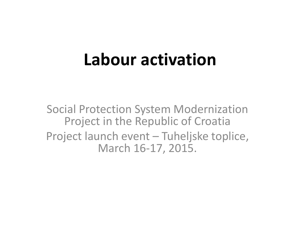### **Labour activation**

Social Protection System Modernization Project in the Republic of Croatia Project launch event – Tuheljske toplice, March 16-17, 2015.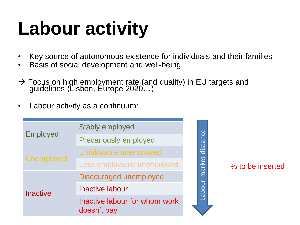# **Labour activity**

- Key source of autonomous existence for individuals and their families
- Basis of social development and well-being
- $\rightarrow$  Focus on high employment rate (and quality) in EU targets and guidelines (Lisbon, Europe 2020…)
- Labour activity as a continuum:

| <b>Employed</b>   | <b>Stably employed</b>                       |  |
|-------------------|----------------------------------------------|--|
|                   | <b>Precariously employed</b>                 |  |
| <b>Unemployed</b> | Employable unemployed                        |  |
|                   | Less employable unemployed                   |  |
| <b>Inactive</b>   | Discouraged unemployed                       |  |
|                   | Inactive labour                              |  |
|                   | Inactive labour for whom work<br>doesn't pay |  |

Labour market distance Labour market distance

% to be inserted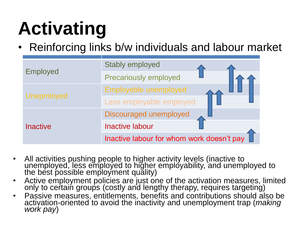# **Activating**

• Reinforcing links b/w individuals and labour market

| <b>Employed</b> | <b>Stably employed</b>                    |  |
|-----------------|-------------------------------------------|--|
|                 | <b>Precariously employed</b>              |  |
| Unepmloyed      | Employeble unemployed                     |  |
|                 | Less employable employed                  |  |
| <b>Inactive</b> | <b>Discouraged unemployed</b>             |  |
|                 | <b>Inactive labour</b>                    |  |
|                 | Inactive labour for whom work doesn't pay |  |

- All activities pushing people to higher activity levels (inactive to unemployed, less employed to higher employability, and unemployed to the best possible employment quality)
- Active employment policies are just one of the activation measures, limited only to certain groups (costly and lengthy therapy, requires targeting)
- Passive measures, entitlements, benefits and contributions should also be activation-oriented to avoid the inactivity and unemployment trap (*making work pay*)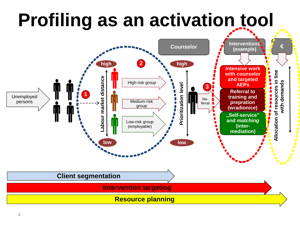# **Profiling as an activation tool**

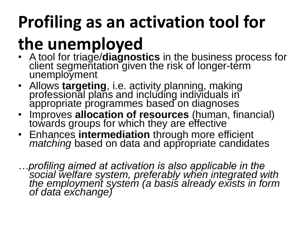# **Profiling as an activation tool for**

## **the unemployed**

- A tool for triage/**diagnostics** in the business process for client segmentation given the risk of longer-term unemployment
- Allows **targeting**, i.e. activity planning, making professional plans and including individuals in appropriate programmes based on diagnoses
- Improves **allocation of resources** (human, financial) towards groups for which they are effective
- Enhances **intermediation** through more efficient *matching* based on data and appropriate candidates

*…profiling aimed at activation is also applicable in the social welfare system, preferably when integrated with the employment system (a basis already exists in form of data exchange)*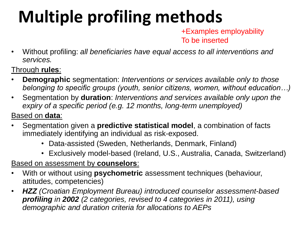### **Multiple profiling methods**

+Examples employability To be inserted

• Without profiling: *all beneficiaries have equal access to all interventions and services.* 

Through **rules**:

- **Demographic** segmentation: *Interventions or services available only to those belonging to specific groups (youth, senior citizens, women, without education…)*
- Segmentation by **duration**: *Interventions and services available only upon the expiry of a specific period (e.g. 12 months, long-term unemployed)*

Based on **data**:

- Segmentation given a **predictive statistical model**, a combination of facts immediately identifying an individual as risk-exposed.
	- Data-assisted (Sweden, Netherlands, Denmark, Finland)
	- Exclusively model-based (Ireland, U.S., Australia, Canada, Switzerland)

#### Based on assessment by **counselors**:

- With or without using **psychometric** assessment techniques (behaviour, attitudes, competencies)
- *HZZ (Croatian Employment Bureau) introduced counselor assessment-based profiling in 2002 (2 categories, revised to 4 categories in 2011), using demographic and duration criteria for allocations to AEPs*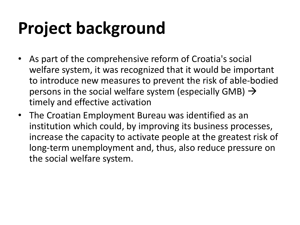### **Project background**

- As part of the comprehensive reform of Croatia's social welfare system, it was recognized that it would be important to introduce new measures to prevent the risk of able-bodied persons in the social welfare system (especially GMB)  $\rightarrow$ timely and effective activation
- The Croatian Employment Bureau was identified as an institution which could, by improving its business processes, increase the capacity to activate people at the greatest risk of long-term unemployment and, thus, also reduce pressure on the social welfare system.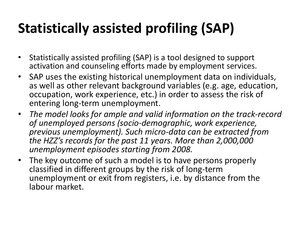### **Statistically assisted profiling (SAP)**

- Statistically assisted profiling (SAP) is a tool designed to support activation and counseling efforts made by employment services.
- SAP uses the existing historical unemployment data on individuals, as well as other relevant background variables (e.g. age, education, occupation, work experience, etc.) in order to assess the risk of entering long-term unemployment.
- *The model looks for ample and valid information on the track-record of unemployed persons (socio-demographic, work experience, previous unemployment). Such micro-data can be extracted from the HZZ's records for the past 11 years. More than 2,000,000 unemployment episodes starting from 2008.*
- The key outcome of such a model is to have persons properly classified in different groups by the risk of long-term unemployment or exit from registers, i.e. by distance from the labour market.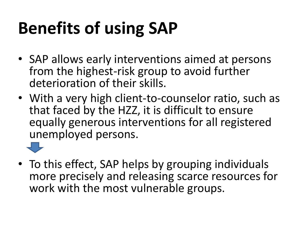### **Benefits of using SAP**

- SAP allows early interventions aimed at persons from the highest-risk group to avoid further deterioration of their skills.
- With a very high client-to-counselor ratio, such as that faced by the HZZ, it is difficult to ensure equally generous interventions for all registered unemployed persons.
- To this effect, SAP helps by grouping individuals more precisely and releasing scarce resources for work with the most vulnerable groups.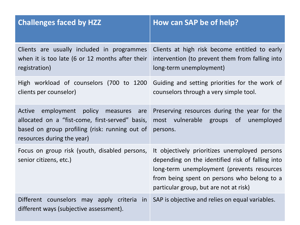| <b>Challenges faced by HZZ</b>                                                                                                                                              | How can SAP be of help?                                                                                                                                                                                                                  |
|-----------------------------------------------------------------------------------------------------------------------------------------------------------------------------|------------------------------------------------------------------------------------------------------------------------------------------------------------------------------------------------------------------------------------------|
| Clients are usually included in programmes<br>when it is too late (6 or 12 months after their<br>registration)                                                              | Clients at high risk become entitled to early<br>intervention (to prevent them from falling into<br>long-term unemployment)                                                                                                              |
| High workload of counselors (700 to 1200<br>clients per counselor)                                                                                                          | Guiding and setting priorities for the work of<br>counselors through a very simple tool.                                                                                                                                                 |
| Active employment policy measures<br>are<br>allocated on a "fist-come, first-served" basis,<br>based on group profiling (risk: running out of<br>resources during the year) | Preserving resources during the year for the<br>most vulnerable groups of unemployed<br>persons.                                                                                                                                         |
| Focus on group risk (youth, disabled persons,<br>senior citizens, etc.)                                                                                                     | It objectively prioritizes unemployed persons<br>depending on the identified risk of falling into<br>long-term unemployment (prevents resources<br>from being spent on persons who belong to a<br>particular group, but are not at risk) |
| Different counselors may apply criteria in<br>different ways (subjective assessment).                                                                                       | SAP is objective and relies on equal variables.                                                                                                                                                                                          |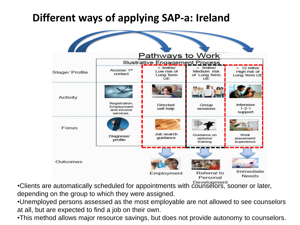#### **Different ways of applying SAP-a: Ireland**

| <b>Contract on the Contract of Contract on the Contract of Contract on the Contract of Contract on the Contract o</b> |                                                        |                                                        |                                                        |                                                     |  |  |
|-----------------------------------------------------------------------------------------------------------------------|--------------------------------------------------------|--------------------------------------------------------|--------------------------------------------------------|-----------------------------------------------------|--|--|
|                                                                                                                       | Pathways to Work                                       |                                                        |                                                        |                                                     |  |  |
|                                                                                                                       | Illustrative Engagement Process                        |                                                        |                                                        |                                                     |  |  |
| <b>Stage/Profile</b>                                                                                                  | Access/1st<br>contact                                  | $<$ 3 $mths/$<br>Low risk of<br>Long Term<br><b>UE</b> | $>3$ mths/<br>Medium risk<br>of Long Term<br><b>UE</b> | $> 12$ mths/<br><b>High risk of</b><br>Long Term UE |  |  |
| <b>Activity</b>                                                                                                       |                                                        |                                                        | ER AN<br><b>CONTROL</b>                                |                                                     |  |  |
|                                                                                                                       | Registration:<br>Employment<br>and income<br>services. | <b>Directed</b><br>self help                           | Group<br>sessions                                      | Intensive<br>$1 - 2 - 1$<br>support                 |  |  |
| Focus                                                                                                                 | Diagnose/<br>profile                                   | Job search<br>quidance                                 | Guidance on<br>options/<br>training                    | Work<br>placement/<br>experience                    |  |  |
| <b>Outcomes</b>                                                                                                       |                                                        | Employment                                             | Referral to<br>Personal                                | Immediate<br><b>Needs</b>                           |  |  |

•Clients are automatically scheduled for appointments with counselors, sooner or later, depending on the group to which they were assigned.

•Unemployed persons assessed as the most employable are not allowed to see counselors at all, but are expected to find a job on their own.

•This method allows major resource savings, but does not provide autonomy to counselors.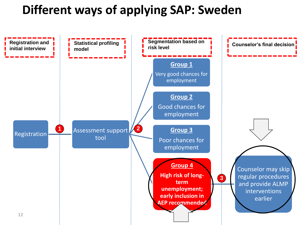### **Different ways of applying SAP: Sweden**

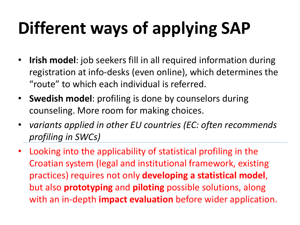## **Different ways of applying SAP**

- **Irish model**: job seekers fill in all required information during registration at info-desks (even online), which determines the "route" to which each individual is referred.
- **Swedish model**: profiling is done by counselors during counseling. More room for making choices.
- *variants applied in other EU countries (EC: often recommends profiling in SWCs)*
- Looking into the applicability of statistical profiling in the Croatian system (legal and institutional framework, existing practices) requires not only **developing a statistical model**, but also **prototyping** and **piloting** possible solutions, along with an in-depth **impact evaluation** before wider application.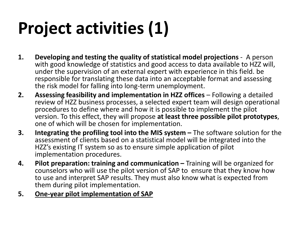### **Project activities (1)**

- **1. Developing and testing the quality of statistical model projections**  A person with good knowledge of statistics and good access to data available to HZZ will, under the supervision of an external expert with experience in this field. be responsible for translating these data into an acceptable format and assessing the risk model for falling into long-term unemployment.
- **2.** Assessing feasibility and implementation in HZZ offices Following a detailed review of HZZ business processes, a selected expert team will design operational procedures to define where and how it is possible to implement the pilot version. To this effect, they will propose **at least three possible pilot prototypes**, one of which will be chosen for implementation.
- **3.** Integrating the profiling tool into the MIS system The software solution for the assessment of clients based on a statistical model will be integrated into the HZZ's existing IT system so as to ensure simple application of pilot implementation procedures.
- **4.** Pilot preparation: training and communication Training will be organized for counselors who will use the pilot version of SAP to ensure that they know how to use and interpret SAP results. They must also know what is expected from them during pilot implementation.

#### **5. One-year pilot implementation of SAP**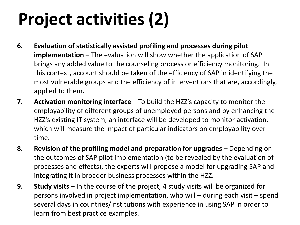## **Project activities (2)**

- **6. Evaluation of statistically assisted profiling and processes during pilot implementation –** The evaluation will show whether the application of SAP brings any added value to the counseling process or efficiency monitoring. In this context, account should be taken of the efficiency of SAP in identifying the most vulnerable groups and the efficiency of interventions that are, accordingly, applied to them.
- **7. Activation monitoring interface**  To build the HZZ's capacity to monitor the employability of different groups of unemployed persons and by enhancing the HZZ's existing IT system, an interface will be developed to monitor activation, which will measure the impact of particular indicators on employability over time.
- **8.** Revision of the profiling model and preparation for upgrades Depending on the outcomes of SAP pilot implementation (to be revealed by the evaluation of processes and effects), the experts will propose a model for upgrading SAP and integrating it in broader business processes within the HZZ.
- **9. Study visits –** In the course of the project, 4 study visits will be organized for persons involved in project implementation, who will – during each visit – spend several days in countries/institutions with experience in using SAP in order to learn from best practice examples.